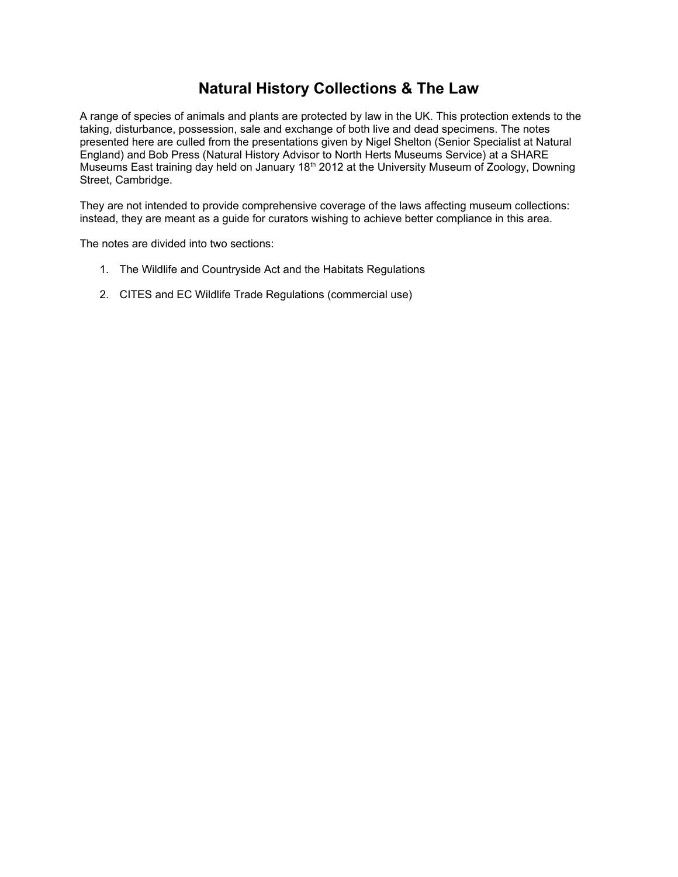# **Natural History Collections & The Law**

A range of species of animals and plants are protected by law in the UK. This protection extends to the taking, disturbance, possession, sale and exchange of both live and dead specimens. The notes presented here are culled from the presentations given by Nigel Shelton (Senior Specialist at Natural England) and Bob Press (Natural History Advisor to North Herts Museums Service) at a SHARE Museums East training day held on January 18<sup>th</sup> 2012 at the University Museum of Zoology, Downing Street, Cambridge.

They are not intended to provide comprehensive coverage of the laws affecting museum collections: instead, they are meant as a guide for curators wishing to achieve better compliance in this area.

The notes are divided into two sections:

- 1. The Wildlife and Countryside Act and the Habitats Regulations
- 2. CITES and EC Wildlife Trade Regulations (commercial use)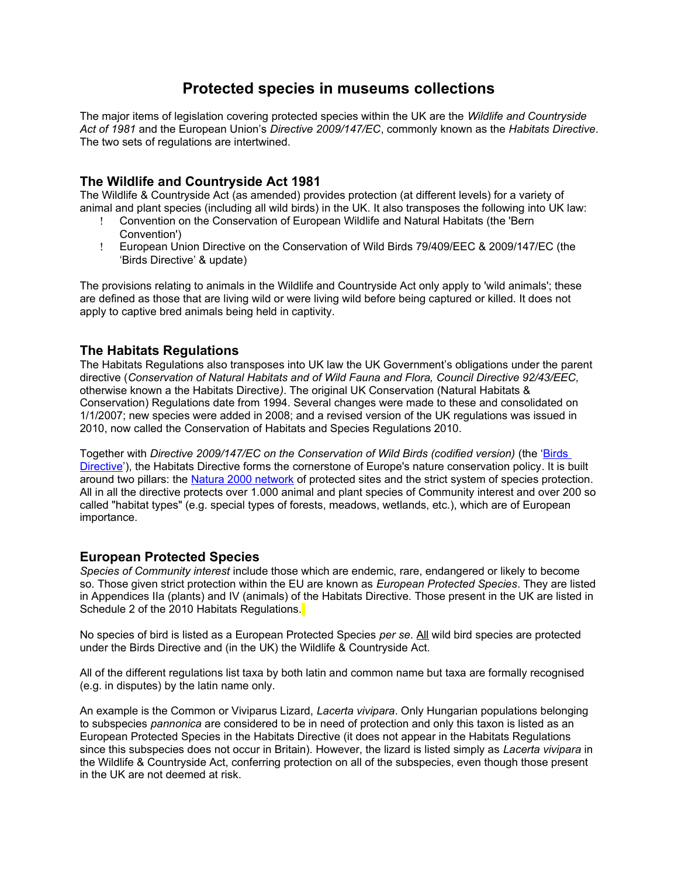# **Protected species in museums collections**

The major items of legislation covering protected species within the UK are the *Wildlife and Countryside Act of 1981* and the European Union's *Directive 2009/147/EC*, commonly known as the *Habitats Directive*. The two sets of regulations are intertwined.

# **The Wildlife and Countryside Act 1981**

The Wildlife & Countryside Act (as amended) provides protection (at different levels) for a variety of animal and plant species (including all wild birds) in the UK. It also transposes the following into UK law:

- Convention on the Conservation of European Wildlife and Natural Habitats (the 'Bern Convention')
- European Union Directive on the Conservation of Wild Birds 79/409/EEC & 2009/147/EC (the 'Birds Directive' & update)

The provisions relating to animals in the Wildlife and Countryside Act only apply to 'wild animals'; these are defined as those that are living wild or were living wild before being captured or killed. It does not apply to captive bred animals being held in captivity.

# **The Habitats Regulations**

The Habitats Regulations also transposes into UK law the UK Government's obligations under the parent directive (*Conservation of Natural Habitats and of Wild Fauna and Flora, Council Directive 92/43/EEC,*  otherwise known a the Habitats Directive*)*. The original UK Conservation (Natural Habitats & Conservation) Regulations date from 1994. Several changes were made to these and consolidated on 1/1/2007; new species were added in 2008; and a revised version of the UK regulations was issued in 2010, now called the Conservation of Habitats and Species Regulations 2010.

Together with *Directive 2009/147/EC on the Conservation of Wild Birds (codified version)* (the ['Birds](http://ec.europa.eu/environment/nature/legislation/birdsdirective/index_en.htm)  [Directive'](http://ec.europa.eu/environment/nature/legislation/birdsdirective/index_en.htm)), the Habitats Directive forms the cornerstone of Europe's nature conservation policy. It is built around two pillars: the [Natura 2000 network](http://ec.europa.eu/environment/nature/natura2000/index_en.htm) of protected sites and the strict system of species protection. All in all the directive protects over 1.000 animal and plant species of Community interest and over 200 so called "habitat types" (e.g. special types of forests, meadows, wetlands, etc.), which are of European importance.

# **European Protected Species**

*Species of Community interest* include those which are endemic, rare, endangered or likely to become so. Those given strict protection within the EU are known as *European Protected Species*. They are listed in Appendices IIa (plants) and IV (animals) of the Habitats Directive. Those present in the UK are listed in Schedule 2 of the 2010 Habitats Regulations.

No species of bird is listed as a European Protected Species *per se*. All wild bird species are protected under the Birds Directive and (in the UK) the Wildlife & Countryside Act.

All of the different regulations list taxa by both latin and common name but taxa are formally recognised (e.g. in disputes) by the latin name only.

An example is the Common or Viviparus Lizard, *Lacerta vivipara*. Only Hungarian populations belonging to subspecies *pannonica* are considered to be in need of protection and only this taxon is listed as an European Protected Species in the Habitats Directive (it does not appear in the Habitats Regulations since this subspecies does not occur in Britain). However, the lizard is listed simply as *Lacerta vivipara* in the Wildlife & Countryside Act, conferring protection on all of the subspecies, even though those present in the UK are not deemed at risk.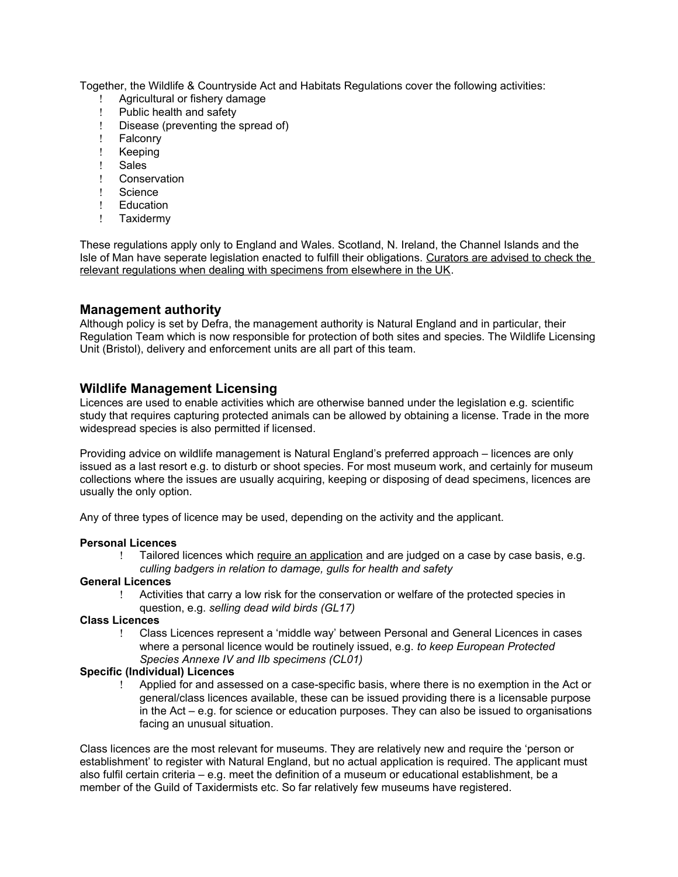Together, the Wildlife & Countryside Act and Habitats Regulations cover the following activities:

- ! Agricultural or fishery damage<br>! Public health and safety
- Public health and safety
- Disease (preventing the spread of)
- ! Falconry
- ! Keeping
- ! Sales
- Conservation
- ! Science
- ! Education
- ! Taxidermy

These regulations apply only to England and Wales. Scotland, N. Ireland, the Channel Islands and the Isle of Man have seperate legislation enacted to fulfill their obligations. Curators are advised to check the relevant regulations when dealing with specimens from elsewhere in the UK.

# **Management authority**

Although policy is set by Defra, the management authority is Natural England and in particular, their Regulation Team which is now responsible for protection of both sites and species. The Wildlife Licensing Unit (Bristol), delivery and enforcement units are all part of this team.

# **Wildlife Management Licensing**

Licences are used to enable activities which are otherwise banned under the legislation e.g. scientific study that requires capturing protected animals can be allowed by obtaining a license. Trade in the more widespread species is also permitted if licensed.

Providing advice on wildlife management is Natural England's preferred approach – licences are only issued as a last resort e.g. to disturb or shoot species. For most museum work, and certainly for museum collections where the issues are usually acquiring, keeping or disposing of dead specimens, licences are usually the only option.

Any of three types of licence may be used, depending on the activity and the applicant.

#### **Personal Licences**

Tailored licences which require an application and are judged on a case by case basis, e.g. *culling badgers in relation to damage, gulls for health and safety* 

#### **General Licences**

 Activities that carry a low risk for the conservation or welfare of the protected species in question, e.g. *selling dead wild birds (GL17)* 

#### **Class Licences**

 Class Licences represent a 'middle way' between Personal and General Licences in cases where a personal licence would be routinely issued, e.g. *to keep European Protected Species Annexe IV and IIb specimens (CL01)* 

#### **Specific (Individual) Licences**

 Applied for and assessed on a case-specific basis, where there is no exemption in the Act or general/class licences available, these can be issued providing there is a licensable purpose in the Act – e.g. for science or education purposes. They can also be issued to organisations facing an unusual situation.

Class licences are the most relevant for museums. They are relatively new and require the 'person or establishment' to register with Natural England, but no actual application is required. The applicant must also fulfil certain criteria – e.g. meet the definition of a museum or educational establishment, be a member of the Guild of Taxidermists etc. So far relatively few museums have registered.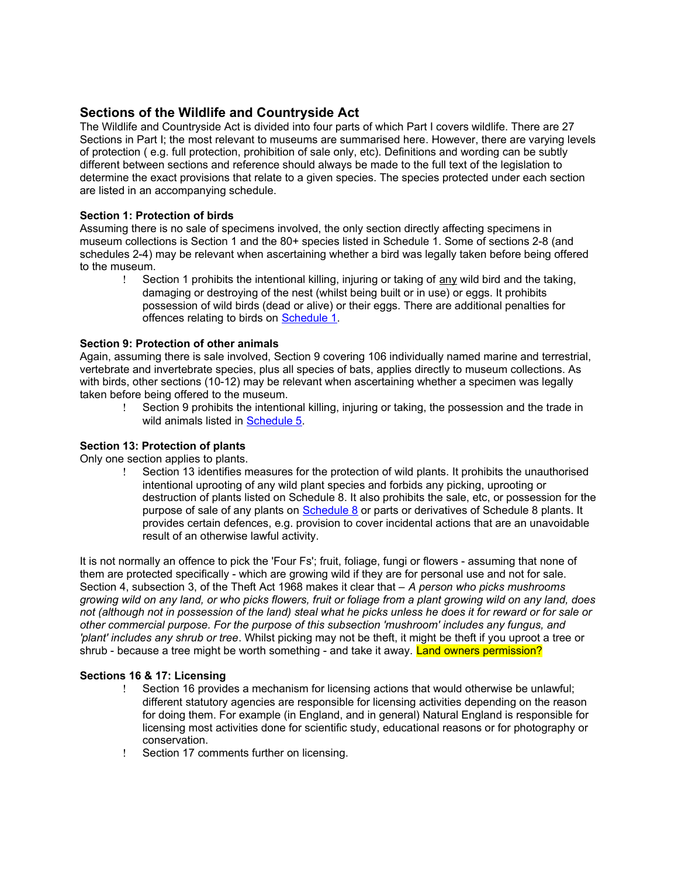# **Sections of the Wildlife and Countryside Act**

The Wildlife and Countryside Act is divided into four parts of which Part I covers wildlife. There are 27 Sections in Part I; the most relevant to museums are summarised here. However, there are varying levels of protection ( e.g. full protection, prohibition of sale only, etc). Definitions and wording can be subtly different between sections and reference should always be made to the full text of the legislation to determine the exact provisions that relate to a given species. The species protected under each section are listed in an accompanying schedule.

# **Section 1: Protection of birds**

Assuming there is no sale of specimens involved, the only section directly affecting specimens in museum collections is Section 1 and the 80+ species listed in Schedule 1. Some of sections 2-8 (and schedules 2-4) may be relevant when ascertaining whether a bird was legally taken before being offered to the museum.

Section 1 prohibits the intentional killing, injuring or taking of any wild bird and the taking, damaging or destroying of the nest (whilst being built or in use) or eggs. It prohibits possession of wild birds (dead or alive) or their eggs. There are additional penalties for offences relating to birds on [Schedule 1.](http://www.naturenet.net/law/sched1.html)

## **Section 9: Protection of other animals**

Again, assuming there is sale involved, Section 9 covering 106 individually named marine and terrestrial, vertebrate and invertebrate species, plus all species of bats, applies directly to museum collections. As with birds, other sections (10-12) may be relevant when ascertaining whether a specimen was legally taken before being offered to the museum.

 Section 9 prohibits the intentional killing, injuring or taking, the possession and the trade in wild animals listed in [Schedule 5.](http://www.naturenet.net/law/sched5.html)

## **Section 13: Protection of plants**

Only one section applies to plants.

 Section 13 identifies measures for the protection of wild plants. It prohibits the unauthorised intentional uprooting of any wild plant species and forbids any picking, uprooting or destruction of plants listed on Schedule 8. It also prohibits the sale, etc, or possession for the purpose of sale of any plants on [Schedule 8](http://www.naturenet.net/law/sched8.html) or parts or derivatives of Schedule 8 plants. It provides certain defences, e.g. provision to cover incidental actions that are an unavoidable result of an otherwise lawful activity.

It is not normally an offence to pick the 'Four Fs'; fruit, foliage, fungi or flowers - assuming that none of them are protected specifically - which are growing wild if they are for personal use and not for sale. Section 4, subsection 3, of the Theft Act 1968 makes it clear that – *A person who picks mushrooms growing wild on any land, or who picks flowers, fruit or foliage from a plant growing wild on any land, does not (although not in possession of the land) steal what he picks unless he does it for reward or for sale or other commercial purpose. For the purpose of this subsection 'mushroom' includes any fungus, and 'plant' includes any shrub or tree*. Whilst picking may not be theft, it might be theft if you uproot a tree or shrub - because a tree might be worth something - and take it away. Land owners permission?

## **Sections 16 & 17: Licensing**

- Section 16 provides a mechanism for licensing actions that would otherwise be unlawful; different statutory agencies are responsible for licensing activities depending on the reason for doing them. For example (in England, and in general) Natural England is responsible for licensing most activities done for scientific study, educational reasons or for photography or conservation.
- Section 17 comments further on licensing.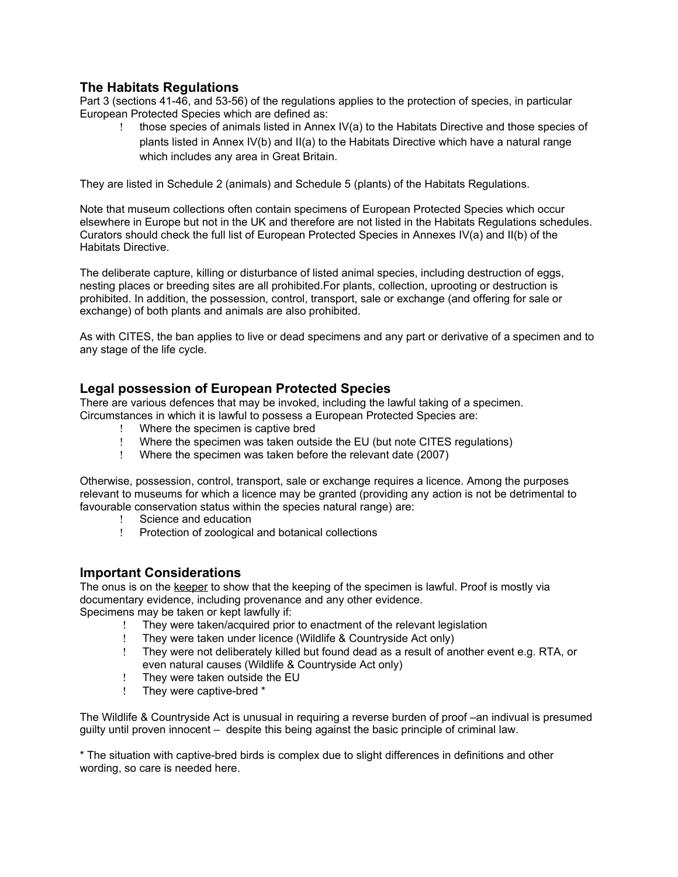# **The Habitats Regulations**

Part 3 (sections 41-46, and 53-56) of the regulations applies to the protection of species, in particular European Protected Species which are defined as:

 those species of animals listed in Annex IV(a) to the Habitats Directive and those species of plants listed in Annex IV(b) and II(a) to the Habitats Directive which have a natural range which includes any area in Great Britain.

They are listed in Schedule 2 (animals) and Schedule 5 (plants) of the Habitats Regulations.

Note that museum collections often contain specimens of European Protected Species which occur elsewhere in Europe but not in the UK and therefore are not listed in the Habitats Regulations schedules. Curators should check the full list of European Protected Species in Annexes IV(a) and II(b) of the Habitats Directive.

The deliberate capture, killing or disturbance of listed animal species, including destruction of eggs, nesting places or breeding sites are all prohibited.For plants, collection, uprooting or destruction is prohibited. In addition, the possession, control, transport, sale or exchange (and offering for sale or exchange) of both plants and animals are also prohibited.

As with CITES, the ban applies to live or dead specimens and any part or derivative of a specimen and to any stage of the life cycle.

# **Legal possession of European Protected Species**

There are various defences that may be invoked, including the lawful taking of a specimen. Circumstances in which it is lawful to possess a European Protected Species are:

- Where the specimen is captive bred
- Where the specimen was taken outside the EU (but note CITES regulations)
- Where the specimen was taken before the relevant date (2007)

Otherwise, possession, control, transport, sale or exchange requires a licence. Among the purposes relevant to museums for which a licence may be granted (providing any action is not be detrimental to favourable conservation status within the species natural range) are:

- Science and education
- Protection of zoological and botanical collections

## **Important Considerations**

The onus is on the keeper to show that the keeping of the specimen is lawful. Proof is mostly via documentary evidence, including provenance and any other evidence.

- Specimens may be taken or kept lawfully if:
	- They were taken/acquired prior to enactment of the relevant legislation<br>They were taken under licence (Wildlife & Countryside Act only)
	- They were taken under licence (Wildlife & Countryside Act only)
	- They were not deliberately killed but found dead as a result of another event e.g. RTA, or even natural causes (Wildlife & Countryside Act only)
	- They were taken outside the EU
	- They were captive-bred \*

The Wildlife & Countryside Act is unusual in requiring a reverse burden of proof –an indivual is presumed guilty until proven innocent – despite this being against the basic principle of criminal law.

\* The situation with captive-bred birds is complex due to slight differences in definitions and other wording, so care is needed here.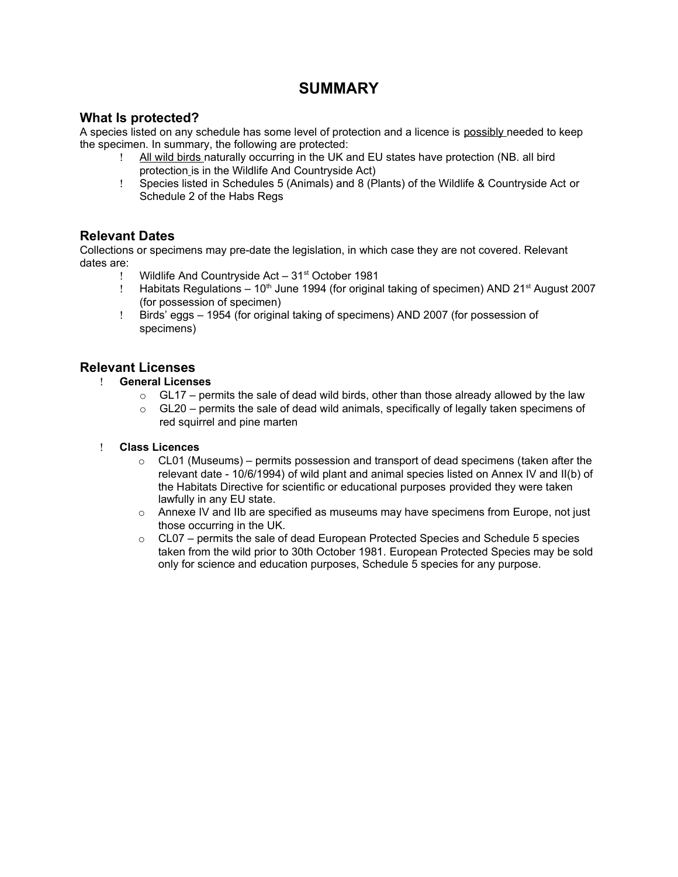# **SUMMARY**

# **What Is protected?**

A species listed on any schedule has some level of protection and a licence is possibly needed to keep the specimen. In summary, the following are protected:

- All wild birds naturally occurring in the UK and EU states have protection (NB. all bird protection is in the Wildlife And Countryside Act)
- Species listed in Schedules 5 (Animals) and 8 (Plants) of the Wildlife & Countryside Act or Schedule 2 of the Habs Regs

# **Relevant Dates**

Collections or specimens may pre-date the legislation, in which case they are not covered. Relevant dates are:

- ! Wildlife And Countryside Act 31<sup>st</sup> October 1981
- Habitats Regulations  $-10<sup>th</sup>$  June 1994 (for original taking of specimen) AND 21 $st$  August 2007 (for possession of specimen)
- Birds' eggs 1954 (for original taking of specimens) AND 2007 (for possession of specimens)

# **Relevant Licenses**

- **General Licenses**
	- $\circ$  GL17 permits the sale of dead wild birds, other than those already allowed by the law
	- $\circ$  GL20 permits the sale of dead wild animals, specifically of legally taken specimens of red squirrel and pine marten

## **Class Licences**

- $\circ$  CL01 (Museums) permits possession and transport of dead specimens (taken after the relevant date - 10/6/1994) of wild plant and animal species listed on Annex IV and II(b) of the Habitats Directive for scientific or educational purposes provided they were taken lawfully in any EU state.
- $\circ$  Annexe IV and IIb are specified as museums may have specimens from Europe, not just those occurring in the UK.
- $\circ$  CL07 permits the sale of dead European Protected Species and Schedule 5 species taken from the wild prior to 30th October 1981. European Protected Species may be sold only for science and education purposes, Schedule 5 species for any purpose.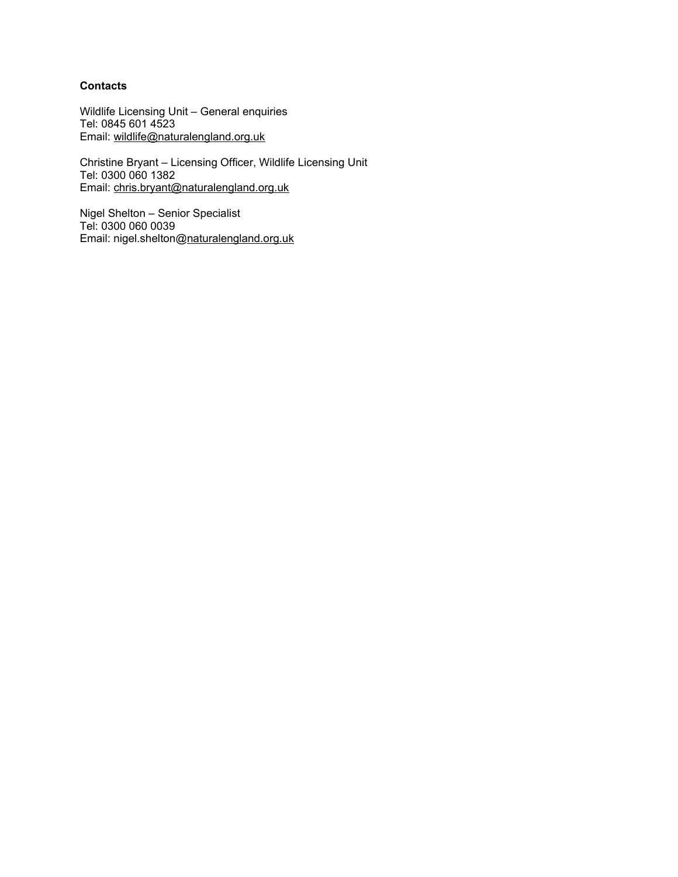# **Contacts**

Wildlife Licensing Unit – General enquiries Tel: 0845 601 4523 Email: [wildlife@naturalengland.org.uk](mailto:wildlife@naturalengland.org.uk)

Christine Bryant – Licensing Officer, Wildlife Licensing Unit Tel: 0300 060 1382 Email: [chris.bryant@naturalengland.org.uk](mailto:chris.bryant@naturalengland.org.uk)

Nigel Shelton – Senior Specialist Tel: 0300 060 0039 Email: nigel.shelton[@naturalengland.org.uk](mailto:david.brown@naturalengland.org.uk)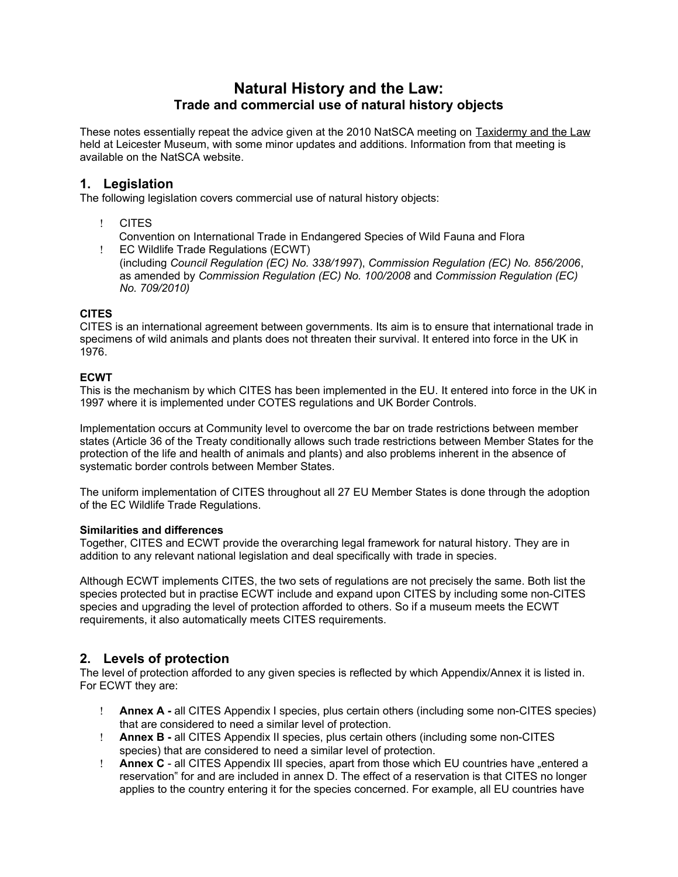# **Natural History and the Law: Trade and commercial use of natural history objects**

These notes essentially repeat the advice given at the 2010 NatSCA meeting on Taxidermy and the Law held at Leicester Museum, with some minor updates and additions. Information from that meeting is available on the NatSCA website.

# **1. Legislation**

The following legislation covers commercial use of natural history objects:

CITES

Convention on International Trade in Endangered Species of Wild Fauna and Flora

 EC Wildlife Trade Regulations (ECWT) (including *Council Regulation (EC) No. 338/1997*), *Commission Regulation (EC) No. 856/2006*, as amended by *Commission Regulation (EC) No. 100/2008* and *Commission Regulation (EC) No. 709/2010)*

# **CITES**

CITES is an international agreement between governments. Its aim is to ensure that international trade in specimens of wild animals and plants does not threaten their survival. It entered into force in the UK in 1976.

# **ECWT**

This is the mechanism by which CITES has been implemented in the EU. It entered into force in the UK in 1997 where it is implemented under COTES regulations and UK Border Controls.

Implementation occurs at Community level to overcome the bar on trade restrictions between member states (Article 36 of the Treaty conditionally allows such trade restrictions between Member States for the protection of the life and health of animals and plants) and also problems inherent in the absence of systematic border controls between Member States.

The uniform implementation of CITES throughout all 27 EU Member States is done through the adoption of the EC Wildlife Trade Regulations.

## **Similarities and differences**

Together, CITES and ECWT provide the overarching legal framework for natural history. They are in addition to any relevant national legislation and deal specifically with trade in species.

Although ECWT implements CITES, the two sets of regulations are not precisely the same. Both list the species protected but in practise ECWT include and expand upon CITES by including some non-CITES species and upgrading the level of protection afforded to others. So if a museum meets the ECWT requirements, it also automatically meets CITES requirements.

# **2. Levels of protection**

The level of protection afforded to any given species is reflected by which Appendix/Annex it is listed in. For ECWT they are:

- **Annex A** all CITES Appendix I species, plus certain others (including some non-CITES species) that are considered to need a similar level of protection.
- **Annex B** all CITES Appendix II species, plus certain others (including some non-CITES species) that are considered to need a similar level of protection.
- **Annex C** all CITES Appendix III species, apart from those which EU countries have "entered a reservation" for and are included in annex D. The effect of a reservation is that CITES no longer applies to the country entering it for the species concerned. For example, all EU countries have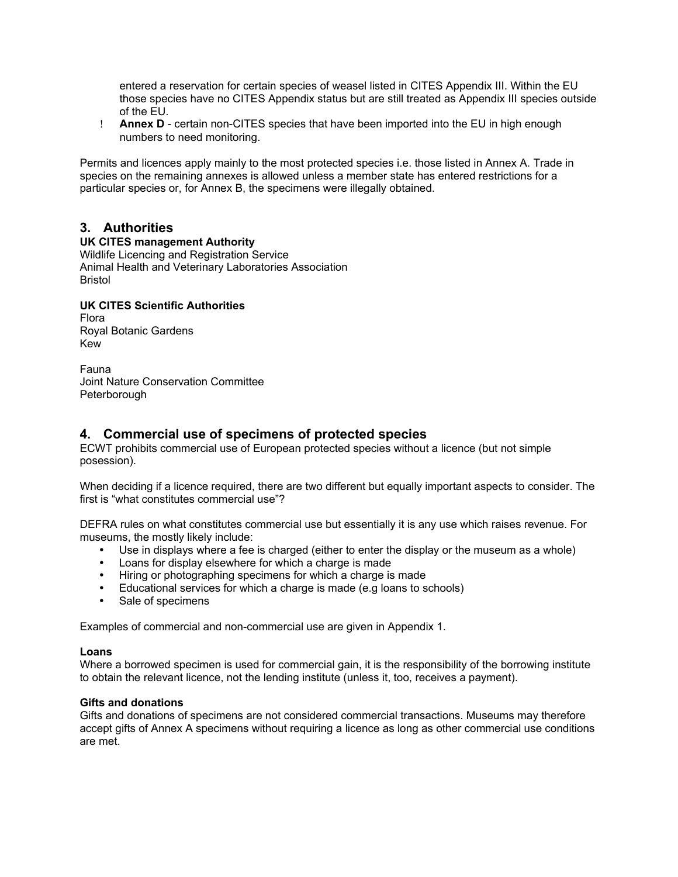entered a reservation for certain species of weasel listed in CITES Appendix III. Within the EU those species have no CITES Appendix status but are still treated as Appendix III species outside of the EU.

 **Annex D** - certain non-CITES species that have been imported into the EU in high enough numbers to need monitoring.

Permits and licences apply mainly to the most protected species i.e. those listed in Annex A. Trade in species on the remaining annexes is allowed unless a member state has entered restrictions for a particular species or, for Annex B, the specimens were illegally obtained.

# **3. Authorities**

#### **UK CITES management Authority**

Wildlife Licencing and Registration Service Animal Health and Veterinary Laboratories Association Bristol

# **UK CITES Scientific Authorities**

Flora Royal Botanic Gardens Kew

Fauna Joint Nature Conservation Committee Peterborough

# **4. Commercial use of specimens of protected species**

ECWT prohibits commercial use of European protected species without a licence (but not simple posession).

When deciding if a licence required, there are two different but equally important aspects to consider. The first is "what constitutes commercial use"?

DEFRA rules on what constitutes commercial use but essentially it is any use which raises revenue. For museums, the mostly likely include:

- Use in displays where a fee is charged (either to enter the display or the museum as a whole)
- Loans for display elsewhere for which a charge is made
- Hiring or photographing specimens for which a charge is made
- Educational services for which a charge is made (e.g loans to schools)
- Sale of specimens

Examples of commercial and non-commercial use are given in Appendix 1.

#### **Loans**

Where a borrowed specimen is used for commercial gain, it is the responsibility of the borrowing institute to obtain the relevant licence, not the lending institute (unless it, too, receives a payment).

## **Gifts and donations**

Gifts and donations of specimens are not considered commercial transactions. Museums may therefore accept gifts of Annex A specimens without requiring a licence as long as other commercial use conditions are met.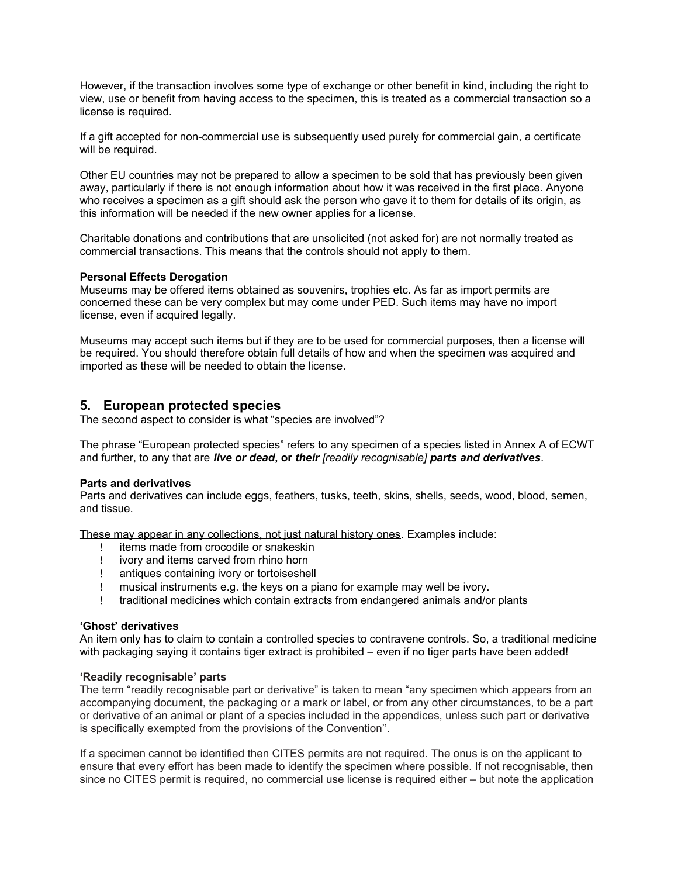However, if the transaction involves some type of exchange or other benefit in kind, including the right to view, use or benefit from having access to the specimen, this is treated as a commercial transaction so a license is required.

If a gift accepted for non-commercial use is subsequently used purely for commercial gain, a certificate will be required.

Other EU countries may not be prepared to allow a specimen to be sold that has previously been given away, particularly if there is not enough information about how it was received in the first place. Anyone who receives a specimen as a gift should ask the person who gave it to them for details of its origin, as this information will be needed if the new owner applies for a license.

Charitable donations and contributions that are unsolicited (not asked for) are not normally treated as commercial transactions. This means that the controls should not apply to them.

#### **Personal Effects Derogation**

Museums may be offered items obtained as souvenirs, trophies etc. As far as import permits are concerned these can be very complex but may come under PED. Such items may have no import license, even if acquired legally.

Museums may accept such items but if they are to be used for commercial purposes, then a license will be required. You should therefore obtain full details of how and when the specimen was acquired and imported as these will be needed to obtain the license.

# **5. European protected species**

The second aspect to consider is what "species are involved"?

The phrase "European protected species" refers to any specimen of a species listed in Annex A of ECWT and further, to any that are *live or dead***, or** *their [readily recognisable] parts and derivatives*.

#### **Parts and derivatives**

Parts and derivatives can include eggs, feathers, tusks, teeth, skins, shells, seeds, wood, blood, semen, and tissue.

These may appear in any collections, not just natural history ones. Examples include:

- ! items made from crocodile or snakeskin<br>! ivory and items carved from rhino horn
- I ivory and items carved from rhino horn<br>I antiques containing ivory or tortoiseshe
- antiques containing ivory or tortoiseshell
- musical instruments e.g. the keys on a piano for example may well be ivory.
- traditional medicines which contain extracts from endangered animals and/or plants

#### **'Ghost' derivatives**

An item only has to claim to contain a controlled species to contravene controls. So, a traditional medicine with packaging saying it contains tiger extract is prohibited – even if no tiger parts have been added!

#### **'Readily recognisable' parts**

The term "readily recognisable part or derivative" is taken to mean "any specimen which appears from an accompanying document, the packaging or a mark or label, or from any other circumstances, to be a part or derivative of an animal or plant of a species included in the appendices, unless such part or derivative is specifically exempted from the provisions of the Convention''.

If a specimen cannot be identified then CITES permits are not required. The onus is on the applicant to ensure that every effort has been made to identify the specimen where possible. If not recognisable, then since no CITES permit is required, no commercial use license is required either – but note the application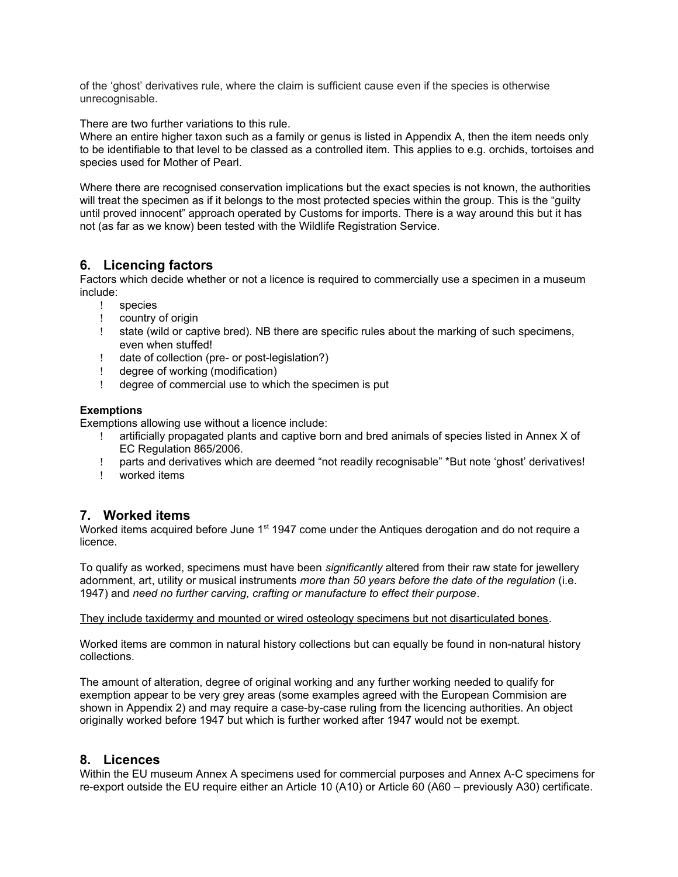of the 'ghost' derivatives rule, where the claim is sufficient cause even if the species is otherwise unrecognisable.

There are two further variations to this rule.

Where an entire higher taxon such as a family or genus is listed in Appendix A, then the item needs only to be identifiable to that level to be classed as a controlled item. This applies to e.g. orchids, tortoises and species used for Mother of Pearl.

Where there are recognised conservation implications but the exact species is not known, the authorities will treat the specimen as if it belongs to the most protected species within the group. This is the "guilty until proved innocent" approach operated by Customs for imports. There is a way around this but it has not (as far as we know) been tested with the Wildlife Registration Service.

# **6. Licencing factors**

Factors which decide whether or not a licence is required to commercially use a specimen in a museum include:

- species
- country of origin
- state (wild or captive bred). NB there are specific rules about the marking of such specimens, even when stuffed!
- date of collection (pre- or post-legislation?)
- degree of working (modification)
- degree of commercial use to which the specimen is put

#### **Exemptions**

Exemptions allowing use without a licence include:

- artificially propagated plants and captive born and bred animals of species listed in Annex X of EC Regulation 865/2006.
- parts and derivatives which are deemed "not readily recognisable" \*But note 'ghost' derivatives!
- worked items

# **7. Worked items**

Worked items acquired before June 1<sup>st</sup> 1947 come under the Antiques derogation and do not require a licence.

To qualify as worked, specimens must have been *significantly* altered from their raw state for jewellery adornment, art, utility or musical instruments *more than 50 years before the date of the regulation* (i.e. 1947) and *need no further carving, crafting or manufacture to effect their purpose*.

They include taxidermy and mounted or wired osteology specimens but not disarticulated bones.

Worked items are common in natural history collections but can equally be found in non-natural history collections.

The amount of alteration, degree of original working and any further working needed to qualify for exemption appear to be very grey areas (some examples agreed with the European Commision are shown in Appendix 2) and may require a case-by-case ruling from the licencing authorities. An object originally worked before 1947 but which is further worked after 1947 would not be exempt.

# **8. Licences**

Within the EU museum Annex A specimens used for commercial purposes and Annex A-C specimens for re-export outside the EU require either an Article 10 (A10) or Article 60 (A60 – previously A30) certificate.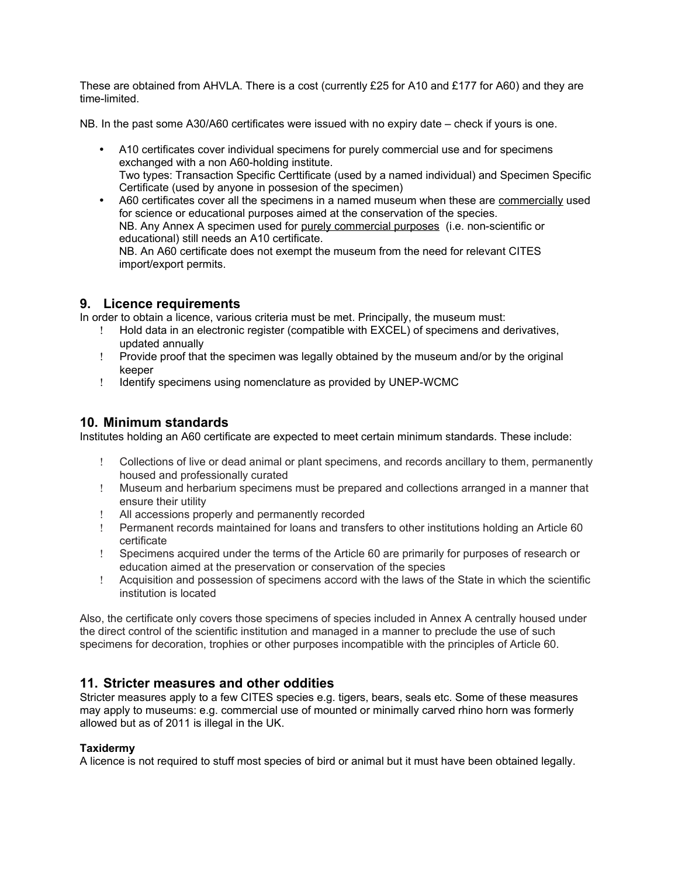These are obtained from AHVLA. There is a cost (currently £25 for A10 and £177 for A60) and they are time-limited.

NB. In the past some A30/A60 certificates were issued with no expiry date – check if yours is one.

- A10 certificates cover individual specimens for purely commercial use and for specimens exchanged with a non A60-holding institute. Two types: Transaction Specific Certtificate (used by a named individual) and Specimen Specific Certificate (used by anyone in possesion of the specimen)
- A60 certificates cover all the specimens in a named museum when these are commercially used for science or educational purposes aimed at the conservation of the species. NB. Any Annex A specimen used for purely commercial purposes (i.e. non-scientific or educational) still needs an A10 certificate. NB. An A60 certificate does not exempt the museum from the need for relevant CITES import/export permits.

# **9. Licence requirements**

In order to obtain a licence, various criteria must be met. Principally, the museum must:

- Hold data in an electronic register (compatible with EXCEL) of specimens and derivatives, updated annually
- Provide proof that the specimen was legally obtained by the museum and/or by the original keeper
- I Identify specimens using nomenclature as provided by UNEP-WCMC

# **10. Minimum standards**

Institutes holding an A60 certificate are expected to meet certain minimum standards. These include:

- Collections of live or dead animal or plant specimens, and records ancillary to them, permanently housed and professionally curated
- Museum and herbarium specimens must be prepared and collections arranged in a manner that ensure their utility
- All accessions properly and permanently recorded
- Permanent records maintained for loans and transfers to other institutions holding an Article 60 certificate
- Specimens acquired under the terms of the Article 60 are primarily for purposes of research or education aimed at the preservation or conservation of the species
- Acquisition and possession of specimens accord with the laws of the State in which the scientific institution is located

Also, the certificate only covers those specimens of species included in Annex A centrally housed under the direct control of the scientific institution and managed in a manner to preclude the use of such specimens for decoration, trophies or other purposes incompatible with the principles of Article 60.

# **11. Stricter measures and other oddities**

Stricter measures apply to a few CITES species e.g. tigers, bears, seals etc. Some of these measures may apply to museums: e.g. commercial use of mounted or minimally carved rhino horn was formerly allowed but as of 2011 is illegal in the UK.

## **Taxidermy**

A licence is not required to stuff most species of bird or animal but it must have been obtained legally.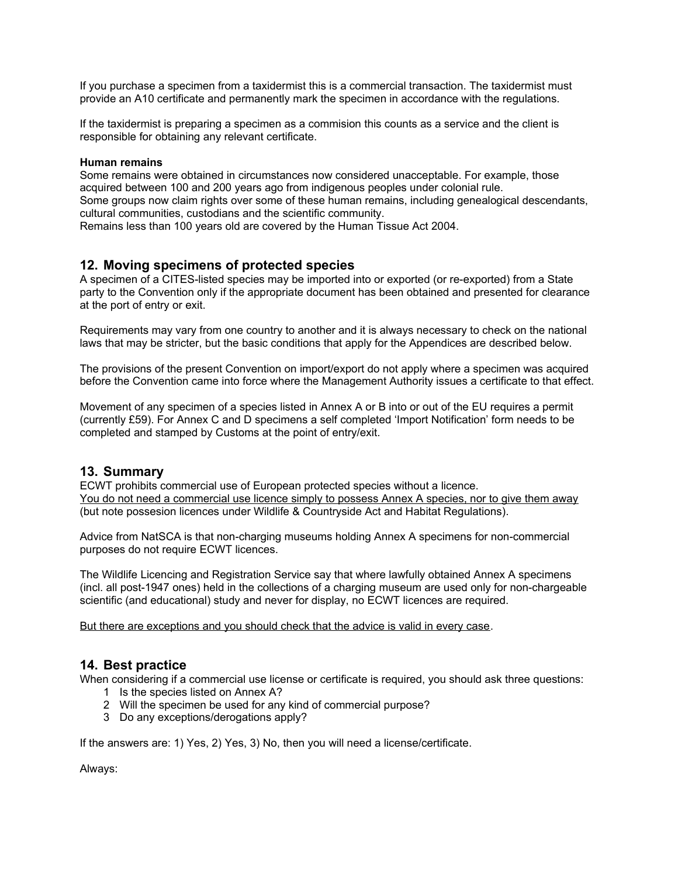If you purchase a specimen from a taxidermist this is a commercial transaction. The taxidermist must provide an A10 certificate and permanently mark the specimen in accordance with the regulations.

If the taxidermist is preparing a specimen as a commision this counts as a service and the client is responsible for obtaining any relevant certificate.

#### **Human remains**

Some remains were obtained in circumstances now considered unacceptable. For example, those acquired between 100 and 200 years ago from indigenous peoples under colonial rule. Some groups now claim rights over some of these human remains, including genealogical descendants, cultural communities, custodians and the scientific community.

Remains less than 100 years old are covered by the Human Tissue Act 2004.

# **12. Moving specimens of protected species**

A specimen of a CITES-listed species may be imported into or exported (or re-exported) from a State party to the Convention only if the appropriate document has been obtained and presented for clearance at the port of entry or exit.

Requirements may vary from one country to another and it is always necessary to check on the national laws that may be stricter, but the basic conditions that apply for the Appendices are described below.

The provisions of the present Convention on import/export do not apply where a specimen was acquired before the Convention came into force where the Management Authority issues a certificate to that effect.

Movement of any specimen of a species listed in Annex A or B into or out of the EU requires a permit (currently £59). For Annex C and D specimens a self completed 'Import Notification' form needs to be completed and stamped by Customs at the point of entry/exit.

## **13. Summary**

ECWT prohibits commercial use of European protected species without a licence. You do not need a commercial use licence simply to possess Annex A species, nor to give them away (but note possesion licences under Wildlife & Countryside Act and Habitat Regulations).

Advice from NatSCA is that non-charging museums holding Annex A specimens for non-commercial purposes do not require ECWT licences.

The Wildlife Licencing and Registration Service say that where lawfully obtained Annex A specimens (incl. all post-1947 ones) held in the collections of a charging museum are used only for non-chargeable scientific (and educational) study and never for display, no ECWT licences are required.

But there are exceptions and you should check that the advice is valid in every case.

# **14. Best practice**

When considering if a commercial use license or certificate is required, you should ask three questions:

- 1 Is the species listed on Annex A?
- 2 Will the specimen be used for any kind of commercial purpose?
- 3 Do any exceptions/derogations apply?

If the answers are: 1) Yes, 2) Yes, 3) No, then you will need a license/certificate.

Always: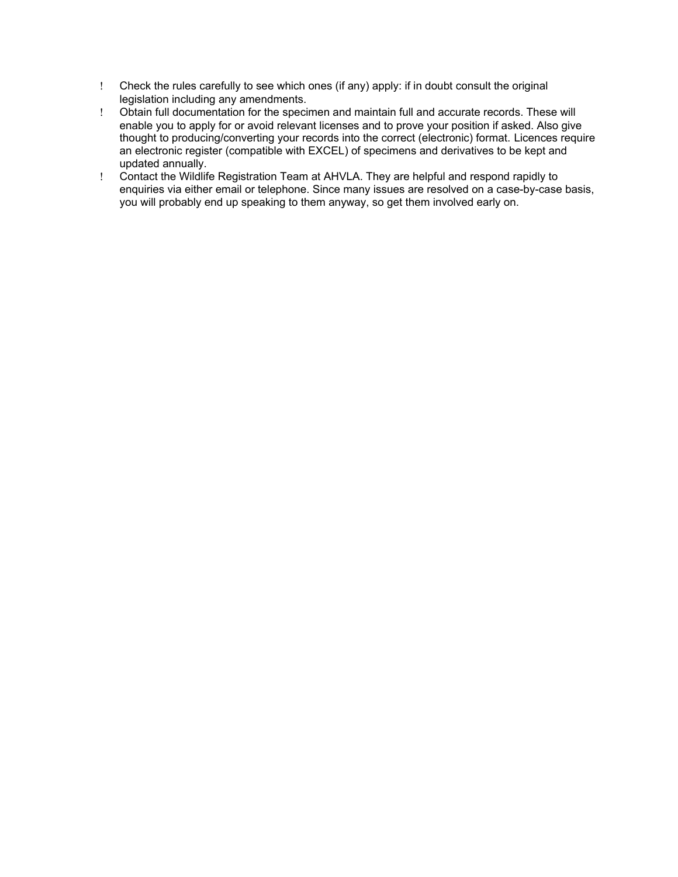- Check the rules carefully to see which ones (if any) apply: if in doubt consult the original legislation including any amendments.
- Obtain full documentation for the specimen and maintain full and accurate records. These will enable you to apply for or avoid relevant licenses and to prove your position if asked. Also give thought to producing/converting your records into the correct (electronic) format. Licences require an electronic register (compatible with EXCEL) of specimens and derivatives to be kept and updated annually.
- Contact the Wildlife Registration Team at AHVLA. They are helpful and respond rapidly to enquiries via either email or telephone. Since many issues are resolved on a case-by-case basis, you will probably end up speaking to them anyway, so get them involved early on.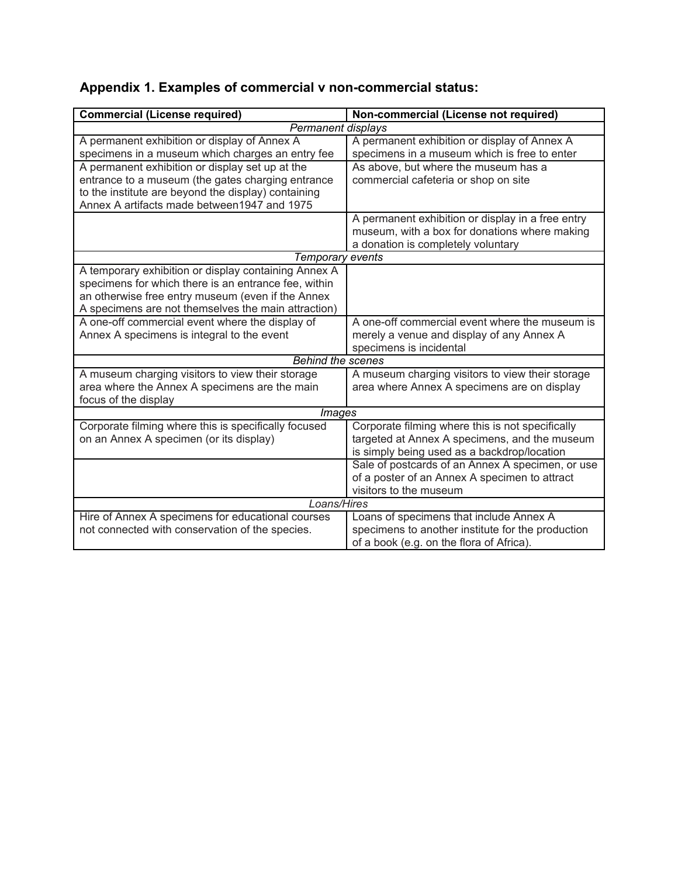|  |  |  | Appendix 1. Examples of commercial v non-commercial status: |
|--|--|--|-------------------------------------------------------------|
|--|--|--|-------------------------------------------------------------|

| <b>Commercial (License required)</b>                 | Non-commercial (License not required)             |  |  |  |
|------------------------------------------------------|---------------------------------------------------|--|--|--|
| Permanent displays                                   |                                                   |  |  |  |
| A permanent exhibition or display of Annex A         | A permanent exhibition or display of Annex A      |  |  |  |
| specimens in a museum which charges an entry fee     | specimens in a museum which is free to enter      |  |  |  |
| A permanent exhibition or display set up at the      | As above, but where the museum has a              |  |  |  |
| entrance to a museum (the gates charging entrance    | commercial cafeteria or shop on site              |  |  |  |
| to the institute are beyond the display) containing  |                                                   |  |  |  |
| Annex A artifacts made between 1947 and 1975         |                                                   |  |  |  |
|                                                      | A permanent exhibition or display in a free entry |  |  |  |
|                                                      | museum, with a box for donations where making     |  |  |  |
|                                                      | a donation is completely voluntary                |  |  |  |
| Temporary events                                     |                                                   |  |  |  |
| A temporary exhibition or display containing Annex A |                                                   |  |  |  |
| specimens for which there is an entrance fee, within |                                                   |  |  |  |
| an otherwise free entry museum (even if the Annex    |                                                   |  |  |  |
| A specimens are not themselves the main attraction)  |                                                   |  |  |  |
| A one-off commercial event where the display of      | A one-off commercial event where the museum is    |  |  |  |
| Annex A specimens is integral to the event           | merely a venue and display of any Annex A         |  |  |  |
|                                                      | specimens is incidental                           |  |  |  |
| <b>Behind the scenes</b>                             |                                                   |  |  |  |
| A museum charging visitors to view their storage     | A museum charging visitors to view their storage  |  |  |  |
| area where the Annex A specimens are the main        | area where Annex A specimens are on display       |  |  |  |
| focus of the display                                 |                                                   |  |  |  |
| <i><b>Images</b></i>                                 |                                                   |  |  |  |
| Corporate filming where this is specifically focused | Corporate filming where this is not specifically  |  |  |  |
| on an Annex A specimen (or its display)              | targeted at Annex A specimens, and the museum     |  |  |  |
|                                                      | is simply being used as a backdrop/location       |  |  |  |
|                                                      | Sale of postcards of an Annex A specimen, or use  |  |  |  |
|                                                      | of a poster of an Annex A specimen to attract     |  |  |  |
|                                                      | visitors to the museum                            |  |  |  |
| Loans/Hires                                          |                                                   |  |  |  |
| Hire of Annex A specimens for educational courses    | Loans of specimens that include Annex A           |  |  |  |
| not connected with conservation of the species.      | specimens to another institute for the production |  |  |  |
|                                                      | of a book (e.g. on the flora of Africa).          |  |  |  |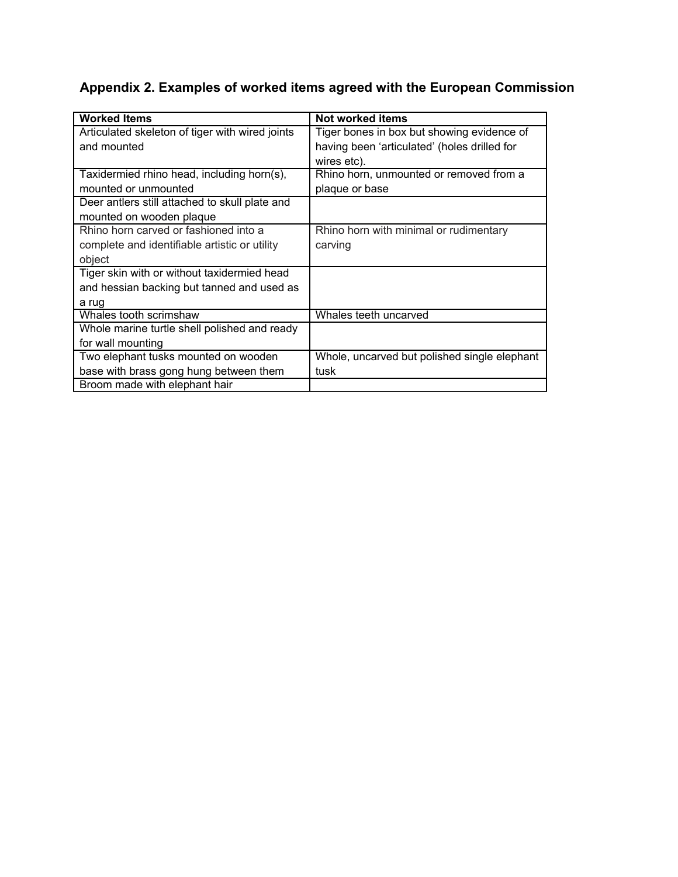# **Appendix 2. Examples of worked items agreed with the European Commission**

| <b>Worked Items</b>                             | Not worked items                             |  |
|-------------------------------------------------|----------------------------------------------|--|
| Articulated skeleton of tiger with wired joints | Tiger bones in box but showing evidence of   |  |
| and mounted                                     | having been 'articulated' (holes drilled for |  |
|                                                 | wires etc).                                  |  |
| Taxidermied rhino head, including horn(s),      | Rhino horn, unmounted or removed from a      |  |
| mounted or unmounted                            | plaque or base                               |  |
| Deer antlers still attached to skull plate and  |                                              |  |
| mounted on wooden plaque                        |                                              |  |
| Rhino horn carved or fashioned into a           | Rhino horn with minimal or rudimentary       |  |
| complete and identifiable artistic or utility   | carving                                      |  |
| object                                          |                                              |  |
| Tiger skin with or without taxidermied head     |                                              |  |
| and hessian backing but tanned and used as      |                                              |  |
| a rug                                           |                                              |  |
| Whales tooth scrimshaw                          | Whales teeth uncarved                        |  |
| Whole marine turtle shell polished and ready    |                                              |  |
| for wall mounting                               |                                              |  |
| Two elephant tusks mounted on wooden            | Whole, uncarved but polished single elephant |  |
| base with brass gong hung between them          | tusk                                         |  |
| Broom made with elephant hair                   |                                              |  |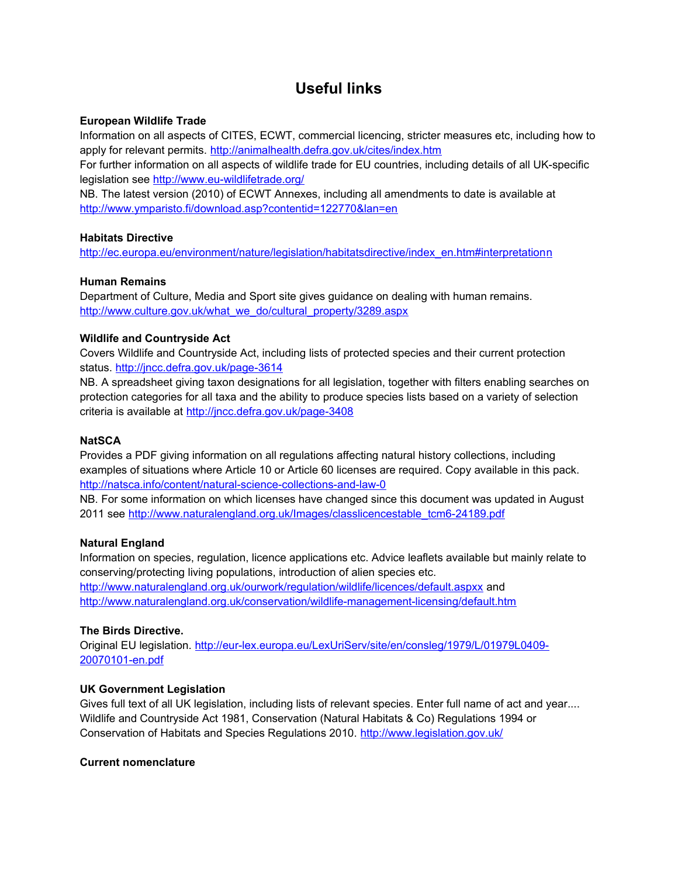# **Useful links**

### **European Wildlife Trade**

Information on all aspects of CITES, ECWT, commercial licencing, stricter measures etc, including how to apply for relevant permits.<http://animalhealth.defra.gov.uk/cites/index.htm>

For further information on all aspects of wildlife trade for EU countries, including details of all UK-specific legislation see<http://www.eu-wildlifetrade.org/>

NB. The latest version (2010) of ECWT Annexes, including all amendments to date is available at <http://www.ymparisto.fi/download.asp?contentid=122770&lan=en>

#### **Habitats Directive**

http://ec.europa.eu/environment/nature/legislation/habitatsdirective/index\_en.htm#interpretationn

#### **Human Remains**

Department of Culture, Media and Sport site gives guidance on dealing with human remains. [http://www.culture.gov.uk/what\\_we\\_do/cultural\\_property/3289.aspx](http://www.culture.gov.uk/what_we_do/cultural_property/3289.aspx)

## **Wildlife and Countryside Act**

Covers Wildlife and Countryside Act, including lists of protected species and their current protection status.<http://jncc.defra.gov.uk/page-3614>

NB. A spreadsheet giving taxon designations for all legislation, together with filters enabling searches on protection categories for all taxa and the ability to produce species lists based on a variety of selection criteria is available at<http://jncc.defra.gov.uk/page-3408>

### **NatSCA**

Provides a PDF giving information on all regulations affecting natural history collections, including examples of situations where Article 10 or Article 60 licenses are required. Copy available in this pack. <http://natsca.info/content/natural-science-collections-and-law-0>

NB. For some information on which licenses have changed since this document was updated in August 2011 see [http://www.naturalengland.org.uk/Images/classlicencestable\\_tcm6-24189.pdf](http://www.naturalengland.org.uk/Images/classlicencestable_tcm6-24189.pdf)

## **Natural England**

Information on species, regulation, licence applications etc. Advice leaflets available but mainly relate to conserving/protecting living populations, introduction of alien species etc. <http://www.naturalengland.org.uk/ourwork/regulation/wildlife/licences/default.aspxx>and <http://www.naturalengland.org.uk/conservation/wildlife-management-licensing/default.htm>

## **The Birds Directive.**

Original EU legislation. [http://eur-lex.europa.eu/LexUriServ/site/en/consleg/1979/L/01979L0409-](http://eur-lex.europa.eu/LexUriServ/site/en/consleg/1979/L/01979L0409-20070101-en.pdf) [20070101-en.pdf](http://eur-lex.europa.eu/LexUriServ/site/en/consleg/1979/L/01979L0409-20070101-en.pdf)

## **UK Government Legislation**

Gives full text of all UK legislation, including lists of relevant species. Enter full name of act and year.... Wildlife and Countryside Act 1981, Conservation (Natural Habitats & Co) Regulations 1994 or Conservation of Habitats and Species Regulations 2010.<http://www.legislation.gov.uk/>

#### **Current nomenclature**